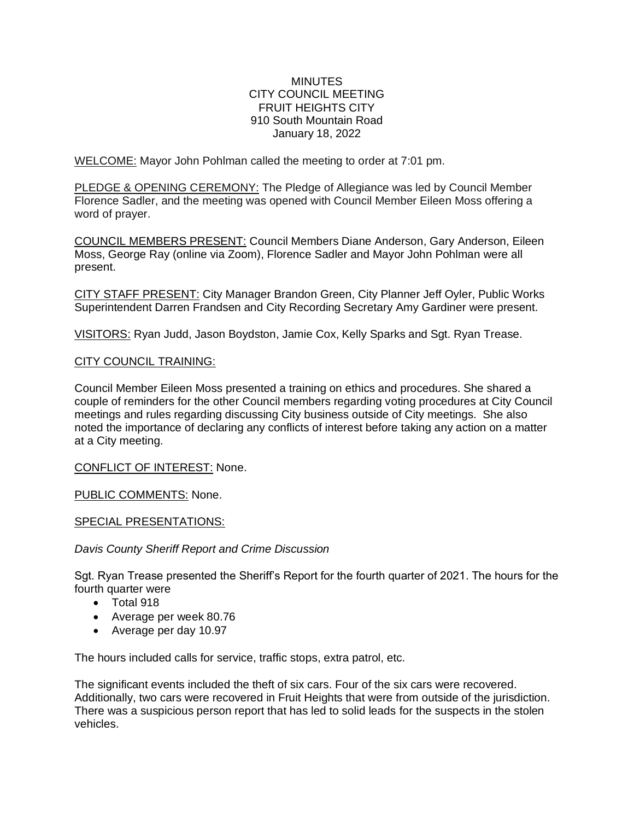### **MINUTES** CITY COUNCIL MEETING FRUIT HEIGHTS CITY 910 South Mountain Road January 18, 2022

WELCOME: Mayor John Pohlman called the meeting to order at 7:01 pm.

PLEDGE & OPENING CEREMONY: The Pledge of Allegiance was led by Council Member Florence Sadler, and the meeting was opened with Council Member Eileen Moss offering a word of prayer.

COUNCIL MEMBERS PRESENT: Council Members Diane Anderson, Gary Anderson, Eileen Moss, George Ray (online via Zoom), Florence Sadler and Mayor John Pohlman were all present.

CITY STAFF PRESENT: City Manager Brandon Green, City Planner Jeff Oyler, Public Works Superintendent Darren Frandsen and City Recording Secretary Amy Gardiner were present.

VISITORS: Ryan Judd, Jason Boydston, Jamie Cox, Kelly Sparks and Sgt. Ryan Trease.

### CITY COUNCIL TRAINING:

Council Member Eileen Moss presented a training on ethics and procedures. She shared a couple of reminders for the other Council members regarding voting procedures at City Council meetings and rules regarding discussing City business outside of City meetings. She also noted the importance of declaring any conflicts of interest before taking any action on a matter at a City meeting.

CONFLICT OF INTEREST: None.

PUBLIC COMMENTS: None.

### SPECIAL PRESENTATIONS:

*Davis County Sheriff Report and Crime Discussion*

Sgt. Ryan Trease presented the Sheriff's Report for the fourth quarter of 2021. The hours for the fourth quarter were

- Total 918
- Average per week 80.76
- Average per day 10.97

The hours included calls for service, traffic stops, extra patrol, etc.

The significant events included the theft of six cars. Four of the six cars were recovered. Additionally, two cars were recovered in Fruit Heights that were from outside of the jurisdiction. There was a suspicious person report that has led to solid leads for the suspects in the stolen vehicles.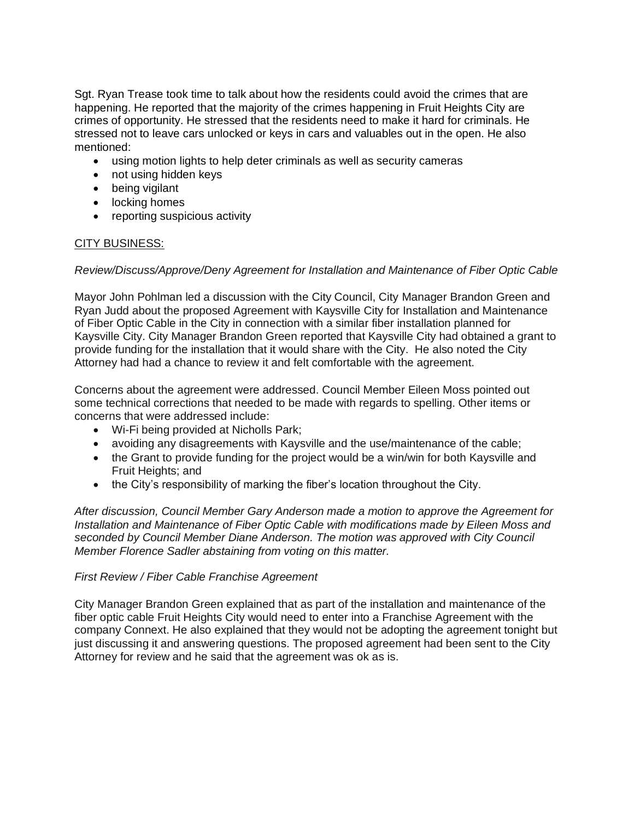Sgt. Ryan Trease took time to talk about how the residents could avoid the crimes that are happening. He reported that the majority of the crimes happening in Fruit Heights City are crimes of opportunity. He stressed that the residents need to make it hard for criminals. He stressed not to leave cars unlocked or keys in cars and valuables out in the open. He also mentioned:

- using motion lights to help deter criminals as well as security cameras
- not using hidden keys
- being vigilant
- locking homes
- reporting suspicious activity

## CITY BUSINESS:

### *Review/Discuss/Approve/Deny Agreement for Installation and Maintenance of Fiber Optic Cable*

Mayor John Pohlman led a discussion with the City Council, City Manager Brandon Green and Ryan Judd about the proposed Agreement with Kaysville City for Installation and Maintenance of Fiber Optic Cable in the City in connection with a similar fiber installation planned for Kaysville City. City Manager Brandon Green reported that Kaysville City had obtained a grant to provide funding for the installation that it would share with the City. He also noted the City Attorney had had a chance to review it and felt comfortable with the agreement.

Concerns about the agreement were addressed. Council Member Eileen Moss pointed out some technical corrections that needed to be made with regards to spelling. Other items or concerns that were addressed include:

- Wi-Fi being provided at Nicholls Park;
- avoiding any disagreements with Kaysville and the use/maintenance of the cable;
- the Grant to provide funding for the project would be a win/win for both Kaysville and Fruit Heights; and
- the City's responsibility of marking the fiber's location throughout the City.

*After discussion, Council Member Gary Anderson made a motion to approve the Agreement for Installation and Maintenance of Fiber Optic Cable with modifications made by Eileen Moss and seconded by Council Member Diane Anderson. The motion was approved with City Council Member Florence Sadler abstaining from voting on this matter.* 

### *First Review / Fiber Cable Franchise Agreement*

City Manager Brandon Green explained that as part of the installation and maintenance of the fiber optic cable Fruit Heights City would need to enter into a Franchise Agreement with the company Connext. He also explained that they would not be adopting the agreement tonight but just discussing it and answering questions. The proposed agreement had been sent to the City Attorney for review and he said that the agreement was ok as is.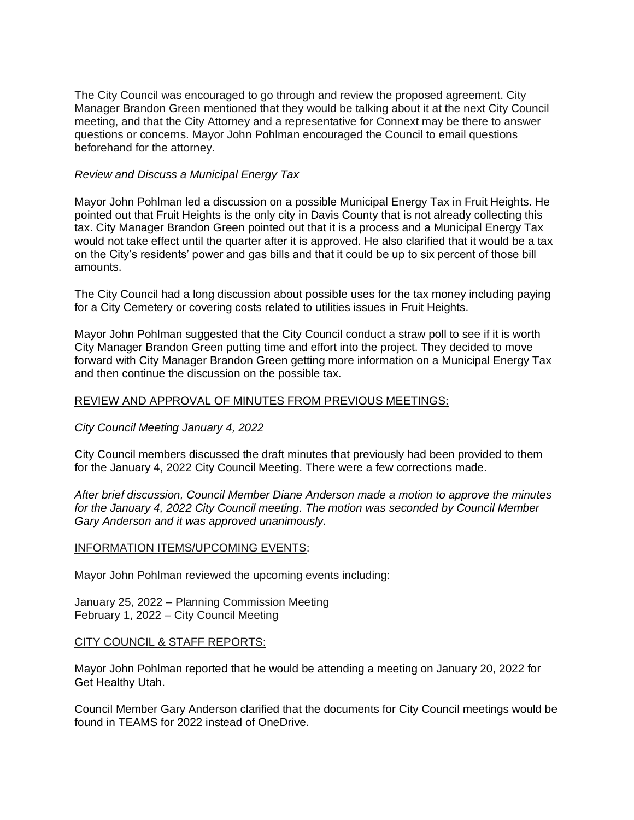The City Council was encouraged to go through and review the proposed agreement. City Manager Brandon Green mentioned that they would be talking about it at the next City Council meeting, and that the City Attorney and a representative for Connext may be there to answer questions or concerns. Mayor John Pohlman encouraged the Council to email questions beforehand for the attorney.

### *Review and Discuss a Municipal Energy Tax*

Mayor John Pohlman led a discussion on a possible Municipal Energy Tax in Fruit Heights. He pointed out that Fruit Heights is the only city in Davis County that is not already collecting this tax. City Manager Brandon Green pointed out that it is a process and a Municipal Energy Tax would not take effect until the quarter after it is approved. He also clarified that it would be a tax on the City's residents' power and gas bills and that it could be up to six percent of those bill amounts.

The City Council had a long discussion about possible uses for the tax money including paying for a City Cemetery or covering costs related to utilities issues in Fruit Heights.

Mayor John Pohlman suggested that the City Council conduct a straw poll to see if it is worth City Manager Brandon Green putting time and effort into the project. They decided to move forward with City Manager Brandon Green getting more information on a Municipal Energy Tax and then continue the discussion on the possible tax.

## REVIEW AND APPROVAL OF MINUTES FROM PREVIOUS MEETINGS:

*City Council Meeting January 4, 2022*

City Council members discussed the draft minutes that previously had been provided to them for the January 4, 2022 City Council Meeting. There were a few corrections made.

*After brief discussion, Council Member Diane Anderson made a motion to approve the minutes for the January 4, 2022 City Council meeting. The motion was seconded by Council Member Gary Anderson and it was approved unanimously.*

### INFORMATION ITEMS/UPCOMING EVENTS:

Mayor John Pohlman reviewed the upcoming events including:

January 25, 2022 – Planning Commission Meeting February 1, 2022 – City Council Meeting

### CITY COUNCIL & STAFF REPORTS:

Mayor John Pohlman reported that he would be attending a meeting on January 20, 2022 for Get Healthy Utah.

Council Member Gary Anderson clarified that the documents for City Council meetings would be found in TEAMS for 2022 instead of OneDrive.